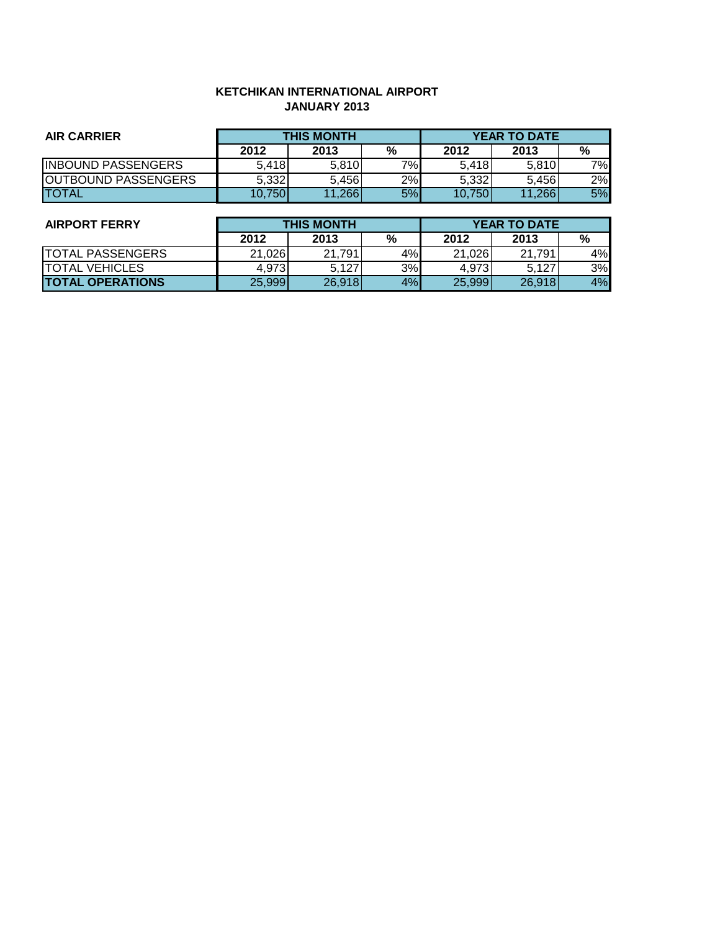### **KETCHIKAN INTERNATIONAL AIRPORT JANUARY 2013**

| <b>AIR CARRIER</b>         | <b>THIS MONTH</b> |        |       | <b>YEAR TO DATE</b> |            |           |
|----------------------------|-------------------|--------|-------|---------------------|------------|-----------|
|                            | 2012              | 2013   | %     | 2012                | 2013       | %         |
| <b>IINBOUND PASSENGERS</b> | 5.418             | 5.810  | $7\%$ | 5,418               | 5,810      | 7%        |
| <b>OUTBOUND PASSENGERS</b> | 5.332             | 5,456  | 2%    | 5,332               | 5.456      | 2%        |
| <b>ITOTAL</b>              | 10,750            | 11,266 | 5%    | 10.750              | .266<br>11 | <b>5%</b> |

| <b>AIRPORT FERRY</b>    |        | <b>THIS MONTH</b> |    |        | <b>YEAR TO DATE</b> |    |  |  |
|-------------------------|--------|-------------------|----|--------|---------------------|----|--|--|
|                         | 2012   | 2013              | %  | 2012   | 2013                | %  |  |  |
| <b>TOTAL PASSENGERS</b> | 21,026 | 21,791            | 4% | 21,026 | 21.791              | 4% |  |  |
| ITOTAL VEHICLES         | 4.973  | 5.127             | 3% | 4.973  | 5.127               | 3% |  |  |
| <b>TOTAL OPERATIONS</b> | 25,999 | 26,918            | 4% | 25,999 | 26,918              | 4% |  |  |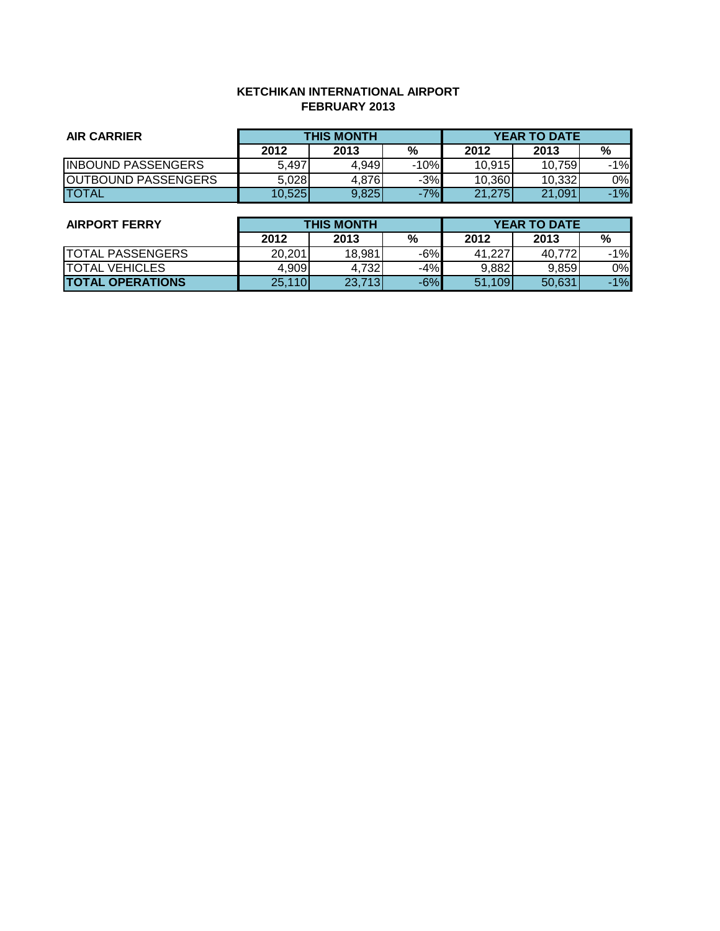### **KETCHIKAN INTERNATIONAL AIRPORT FEBRUARY 2013**

| <b>AIR CARRIER</b>         | <b>THIS MONTH</b> |       |        | <b>YEAR TO DATE</b> |        |       |
|----------------------------|-------------------|-------|--------|---------------------|--------|-------|
|                            | 2012              | 2013  | %      | 2012                | 2013   | %     |
| <b>INBOUND PASSENGERS</b>  | 5,497             | 4.949 | $-10%$ | 10,915              | 10.759 | $-1%$ |
| <b>OUTBOUND PASSENGERS</b> | 5,028             | 4,876 | $-3%$  | 10,360              | 10,332 | 0%    |
| <b>ITOTAL</b>              | 10,525            | 9,825 | $-7%$  | 21,275              | 21,091 | $-1%$ |

| <b>AIRPORT FERRY</b>    | <b>THIS MONTH</b> |        |       | <b>YEAR TO DATE</b> |        |       |
|-------------------------|-------------------|--------|-------|---------------------|--------|-------|
|                         | 2012              | 2013   | %     | 2012                | 2013   | %     |
| <b>TOTAL PASSENGERS</b> | 20,201            | 18,981 | -6%   | 41.227              | 40.772 | 1%    |
| <b>TOTAL VEHICLES</b>   | 4,909             | 4.7321 | -4%   | 9.882               | 9,859  | 0%    |
| <b>TOTAL OPERATIONS</b> | 25,110            | 23,713 | $-6%$ | 51,109              | 50.631 | $-1%$ |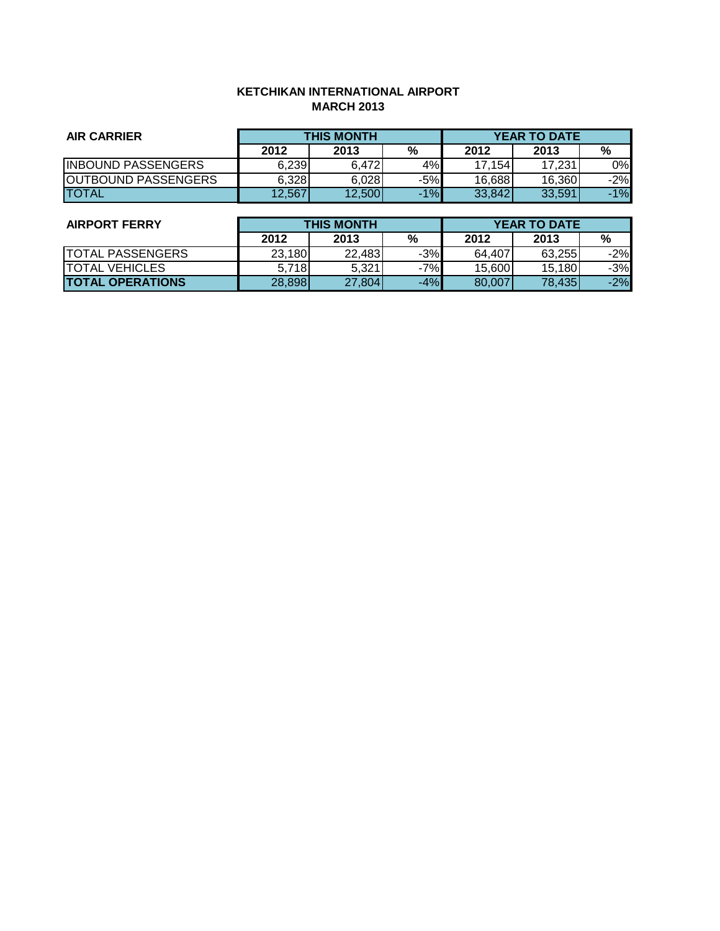# **KETCHIKAN INTERNATIONAL AIRPORT MARCH 2013**

| <b>AIR CARRIER</b>          | <b>THIS MONTH</b> |        |       | <b>YEAR TO DATE</b> |        |       |
|-----------------------------|-------------------|--------|-------|---------------------|--------|-------|
|                             | 2012              | 2013   | %     | 2012                | 2013   | %     |
| <b>INBOUND PASSENGERS</b>   | 6,239             | 6.472  | 4%    | 17.154              | 17,231 | 0%    |
| <b>JOUTBOUND PASSENGERS</b> | 6,328             | 6,028  | $-5%$ | 16,688              | 16,360 | $-2%$ |
| <b>ITOTAL</b>               | 12,567            | 12,500 | $-1%$ | 33,842              | 33,591 | $-1%$ |

| <b>AIRPORT FERRY</b>    | <b>THIS MONTH</b> |        |       | <b>YEAR TO DATE</b> |        |       |  |
|-------------------------|-------------------|--------|-------|---------------------|--------|-------|--|
|                         | 2012              | 2013   | %     | 2012                | 2013   | %     |  |
| <b>TOTAL PASSENGERS</b> | 23,180            | 22.483 | $-3%$ | 64.407              | 63,255 | $-2%$ |  |
| <b>TOTAL VEHICLES</b>   | 5.718             | 5,321  | $-7%$ | 15,600              | 15,180 | $-3%$ |  |
| <b>TOTAL OPERATIONS</b> | 28,898            | 27,804 | $-4%$ | 80,007              | 78,435 | $-2%$ |  |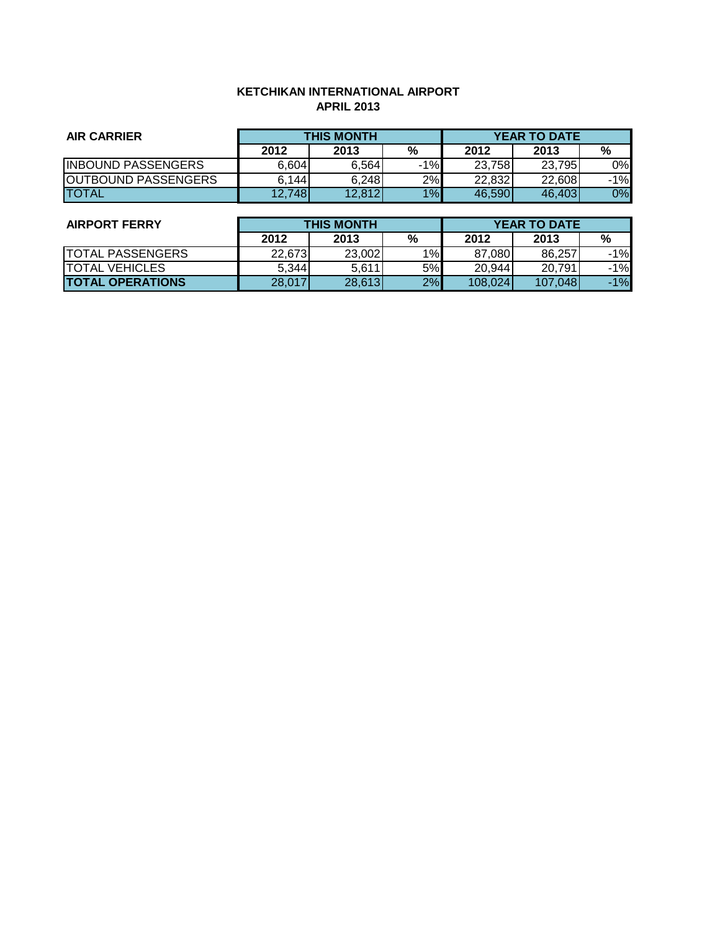# **KETCHIKAN INTERNATIONAL AIRPORT APRIL 2013**

| <b>AIR CARRIER</b>         | <b>THIS MONTH</b> |        |       | <b>YEAR TO DATE</b> |        |       |
|----------------------------|-------------------|--------|-------|---------------------|--------|-------|
|                            | 2012              | 2013   | %     | 2012                | 2013   | %     |
| <b>INBOUND PASSENGERS</b>  | 6,604             | 6.564  | $-1%$ | 23,758              | 23,795 | 0%    |
| <b>OUTBOUND PASSENGERS</b> | 6.144             | 6,248  | 2%    | 22,832              | 22,608 | $-1%$ |
| <b>ITOTAL</b>              | 12,748            | 12,812 | 1%    | 46,590              | 46,403 | 0%    |

| <b>AIRPORT FERRY</b>    | <b>THIS MONTH</b> |        |      | <b>YEAR TO DATE</b> |         |       |
|-------------------------|-------------------|--------|------|---------------------|---------|-------|
|                         | 2012              | 2013   | $\%$ | 2012                | 2013    | %     |
| <b>TOTAL PASSENGERS</b> | 22,673            | 23,002 | 1%   | 87,080              | 86.257  | $-1%$ |
| <b>TOTAL VEHICLES</b>   | 5,344             | 5,611  | 5%   | 20,944              | 20.791  | $-1%$ |
| <b>TOTAL OPERATIONS</b> | 28,017            | 28,613 | 2%   | 108.024             | 107,048 | $-1%$ |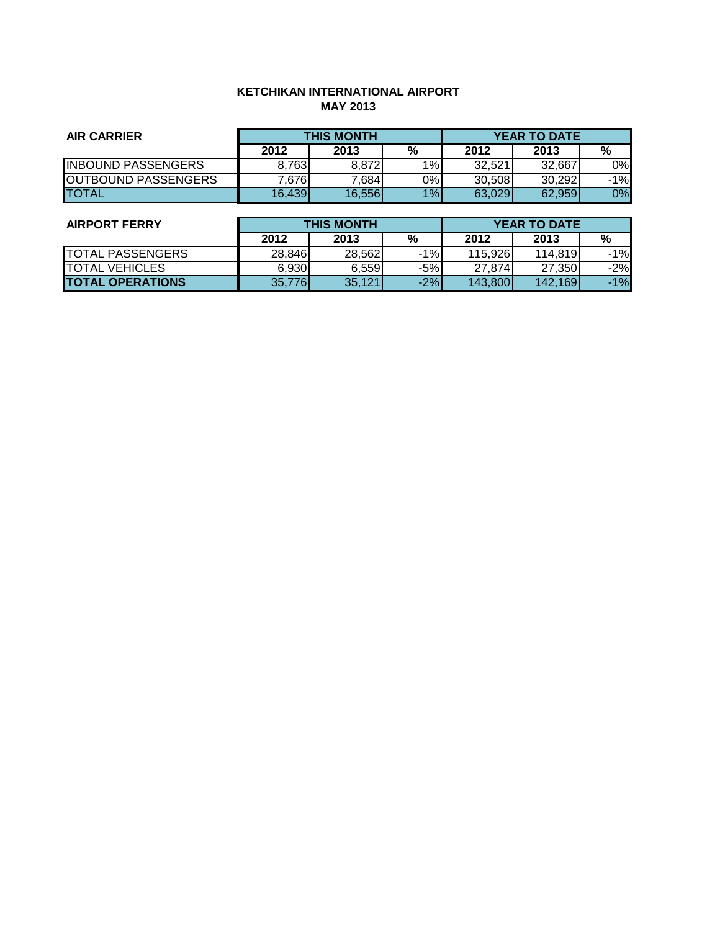# **KETCHIKAN INTERNATIONAL AIRPORT MAY 2013**

| <b>AIR CARRIER</b>         | <b>THIS MONTH</b> |        |    | <b>YEAR TO DATE</b> |        |       |
|----------------------------|-------------------|--------|----|---------------------|--------|-------|
|                            | 2012              | 2013   | %  | 2012                | 2013   | %     |
| <b>INBOUND PASSENGERS</b>  | 8.763             | 8.872  | 1% | 32.521              | 32,667 | 0%    |
| <b>OUTBOUND PASSENGERS</b> | $^{\prime}$ .676  | 7,684  | 0% | 30,508              | 30,292 | $-1%$ |
| <b>ITOTAL</b>              | 16,439            | 16,556 | 1% | 63,029              | 62,959 | 0%    |

| <b>AIRPORT FERRY</b>    | <b>THIS MONTH</b> |        |        | <b>YEAR TO DATE</b> |         |       |
|-------------------------|-------------------|--------|--------|---------------------|---------|-------|
|                         | 2012              | 2013   | %      | 2012                | 2013    | %     |
| <b>TOTAL PASSENGERS</b> | 28,846            | 28.562 | $-1\%$ | 115.926             | 114,819 | $-1%$ |
| <b>TOTAL VEHICLES</b>   | 6.930             | 6.559  | -5%    | 27.874              | 27,350  | $-2%$ |
| <b>TOTAL OPERATIONS</b> | 35,776            | 35,121 | $-2%$  | 143,800             | 142,169 | $-1%$ |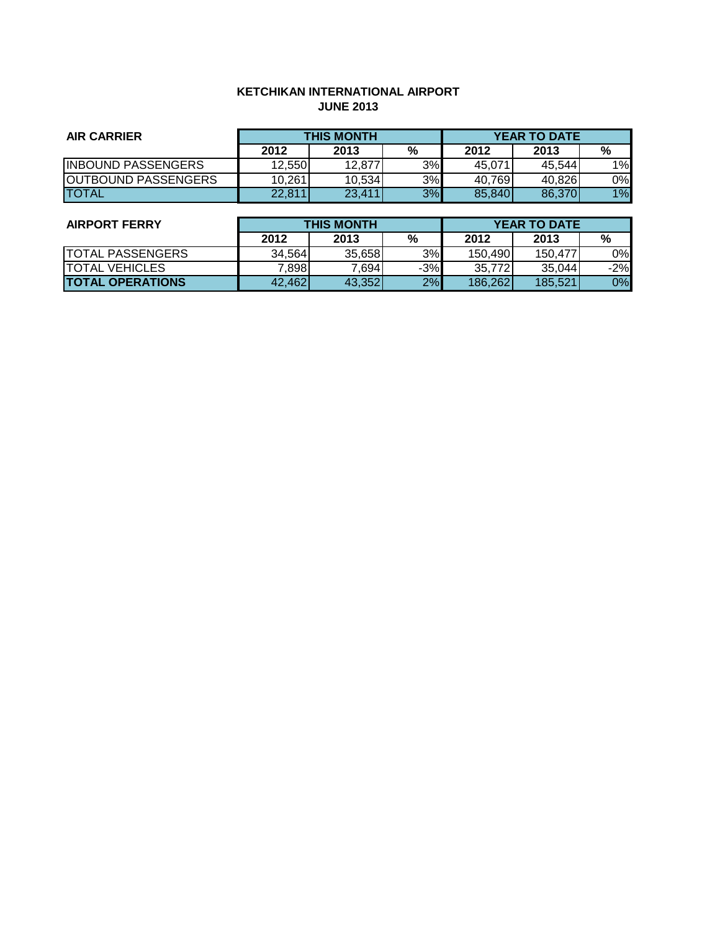# **KETCHIKAN INTERNATIONAL AIRPORT JUNE 2013**

| <b>AIR CARRIER</b>         | <b>THIS MONTH</b> |        |    | <b>YEAR TO DATE</b> |        |    |
|----------------------------|-------------------|--------|----|---------------------|--------|----|
|                            | 2012              | 2013   | %  | 2012                | 2013   | %  |
| <b>INBOUND PASSENGERS</b>  | 12.550            | 12.877 | 3% | 45.071              | 45.544 | 1% |
| <b>OUTBOUND PASSENGERS</b> | 10,261            | 10,534 | 3% | 40,769              | 40,826 | 0% |
| <b>TOTAL</b>               | 22,811            | 23,411 | 3% | 85,840              | 86,370 | 1% |

| <b>AIRPORT FERRY</b>     | <b>THIS MONTH</b> |        |       | <b>YEAR TO DATE</b> |         |       |  |
|--------------------------|-------------------|--------|-------|---------------------|---------|-------|--|
|                          | 2012              | 2013   | %     | 2012                | 2013    | %     |  |
| <b>ITOTAL PASSENGERS</b> | 34.564            | 35,658 | 3%    | 150.490             | 150.477 | 0%    |  |
| <b>TOTAL VEHICLES</b>    | 7,898             | 7.6941 | $-3%$ | 35.772I             | 35,044  | $-2%$ |  |
| <b>TOTAL OPERATIONS</b>  | 42,462            | 43,352 | 2%    | 186,262             | 185,521 | 0%    |  |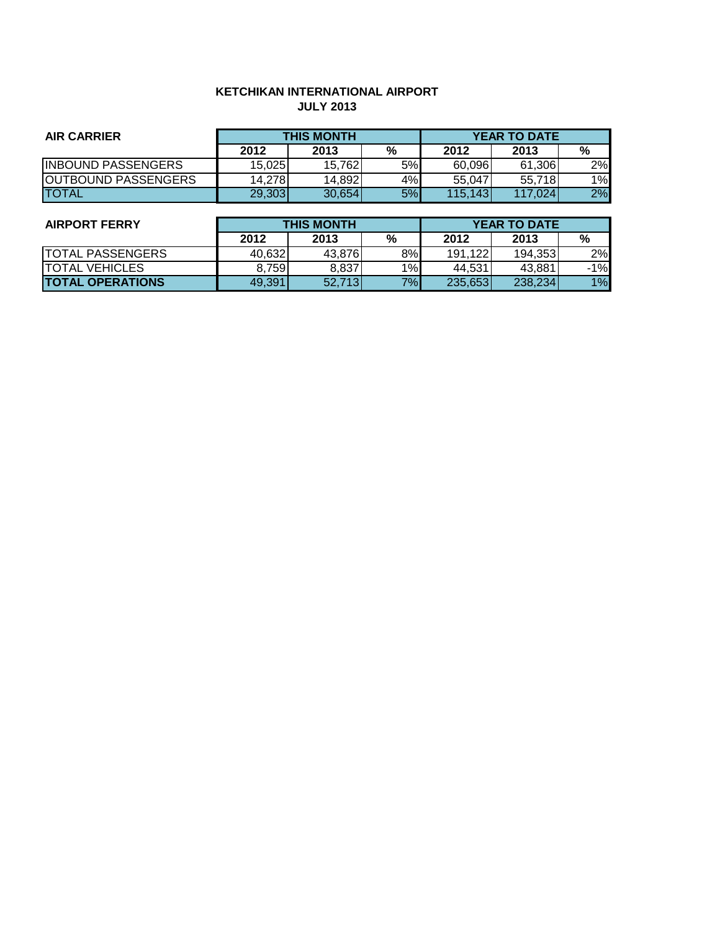# **KETCHIKAN INTERNATIONAL AIRPORT JULY 2013**

| <b>AIR CARRIER</b>         | <b>THIS MONTH</b> |        |    |         | <b>YEAR TO DATE</b> |    |
|----------------------------|-------------------|--------|----|---------|---------------------|----|
|                            | 2012              | 2013   | %  | 2012    | 2013                | %  |
| <b>INBOUND PASSENGERS</b>  | 15.025            | 15.762 | 5% | 60.096  | 61.306              | 2% |
| <b>OUTBOUND PASSENGERS</b> | 14.278l           | 14,892 | 4% | 55,047  | 55.718              | 1% |
| <b>ITOTAL</b>              | 29,303            | 30.654 | 5% | 115,143 | 117.024             | 2% |

| <b>AIRPORT FERRY</b>    |        | <b>THIS MONTH</b> |    |         | <b>YEAR TO DATE</b> |       |  |  |
|-------------------------|--------|-------------------|----|---------|---------------------|-------|--|--|
|                         | 2012   | 2013              | %  | 2012    | 2013                | %     |  |  |
| <b>TOTAL PASSENGERS</b> | 40,632 | 43,876            | 8% | 191,122 | 194,353             | 2%    |  |  |
| <b>ITOTAL VEHICLES</b>  | 8.759  | 8,837             | 1% | 44.531  | 43,881              | $-1%$ |  |  |
| <b>TOTAL OPERATIONS</b> | 49.391 | 52.713            | 7% | 235,653 | 238,234             | 1%    |  |  |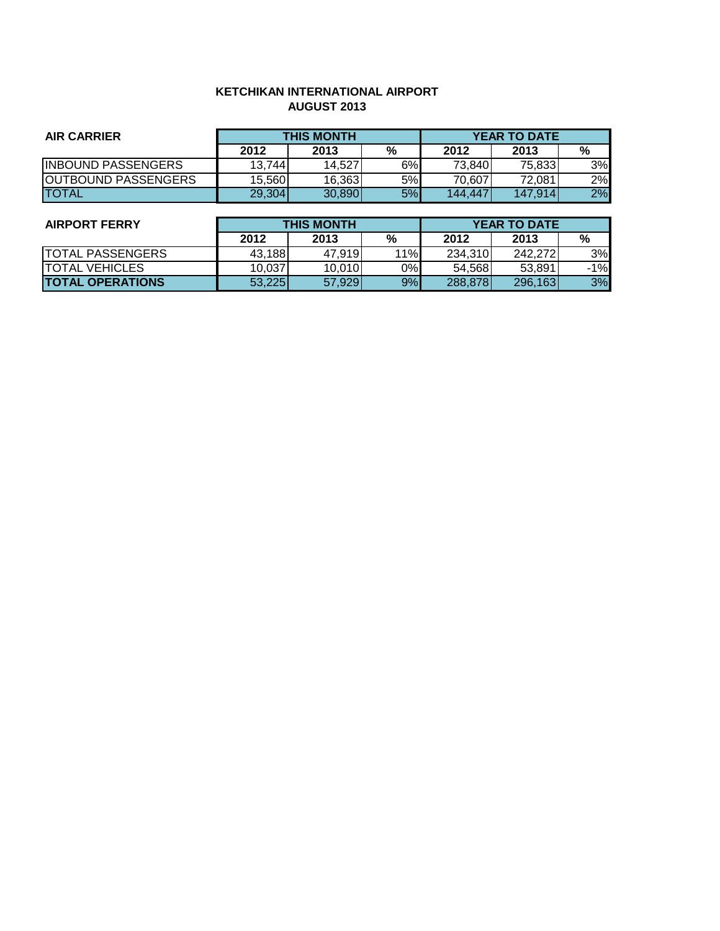## **KETCHIKAN INTERNATIONAL AIRPORT AUGUST 2013**

| <b>AIR CARRIER</b>         |        | <b>THIS MONTH</b> |    | <b>YEAR TO DATE</b> |         |    |  |
|----------------------------|--------|-------------------|----|---------------------|---------|----|--|
|                            | 2012   | 2013              | %  | 2012                | 2013    | %  |  |
| <b>INBOUND PASSENGERS</b>  | 13,744 | 14,527            | 6% | 73,840              | 75,833  | 3% |  |
| <b>OUTBOUND PASSENGERS</b> | 15.560 | 16,363            | 5% | 70.607              | 72.081  | 2% |  |
| <b>ITOTAL</b>              | 29,304 | 30,890            | 5% | 144,447             | 147.914 | 2% |  |

| <b>AIRPORT FERRY</b>    |        | <b>THIS MONTH</b> |     |         | <b>YEAR TO DATE</b> |       |  |  |
|-------------------------|--------|-------------------|-----|---------|---------------------|-------|--|--|
|                         | 2012   | 2013              | %   | 2012    | 2013                | %     |  |  |
| <b>TOTAL PASSENGERS</b> | 43,188 | 47,919            | 11% | 234,310 | 242,272             | 3%    |  |  |
| <b>ITOTAL VEHICLES</b>  | 10,037 | 10,010            | 0%  | 54,568  | 53,891              | $-1%$ |  |  |
| <b>TOTAL OPERATIONS</b> | 53,225 | 57,929            | 9%  | 288,878 | 296,163             | 3%    |  |  |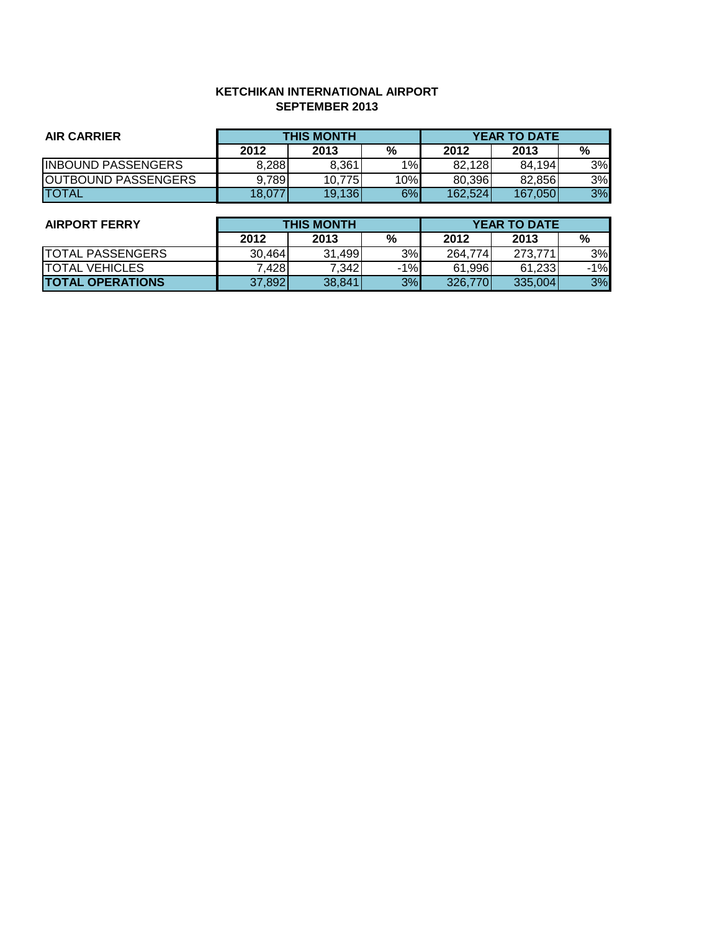### **KETCHIKAN INTERNATIONAL AIRPORT SEPTEMBER 2013**

| <b>AIR CARRIER</b>         |        | <b>THIS MONTH</b> |     | <b>YEAR TO DATE</b> |         |    |  |
|----------------------------|--------|-------------------|-----|---------------------|---------|----|--|
|                            | 2012   | 2013              | %   | 2012                | 2013    | %  |  |
| <b>INBOUND PASSENGERS</b>  | 8,288  | 8.361             | 1%  | 82,128              | 84.194  | 3% |  |
| <b>OUTBOUND PASSENGERS</b> | 9,789  | 10,775            | 10% | 80,396              | 82.856  | 3% |  |
| <b>ITOTAL</b>              | 18.077 | 19,136            | 6%  | 162,524             | 167.050 | 3% |  |

| <b>THIS MONTH</b> |        |                                     | <b>YEAR TO DATE</b> |                   |                              |
|-------------------|--------|-------------------------------------|---------------------|-------------------|------------------------------|
| 2012              | 2013   | %                                   | 2012                | 2013              | %                            |
|                   |        |                                     |                     | 273.771           | 3%                           |
|                   | 7.342  |                                     |                     | 61,233            | $-1%$                        |
|                   | 38.841 |                                     |                     | 335.004           | 3%                           |
|                   |        | 31,499<br>30,464<br>7.428<br>37,892 |                     | 3%<br>$-1%$<br>3% | 264,774<br>61,996<br>326,770 |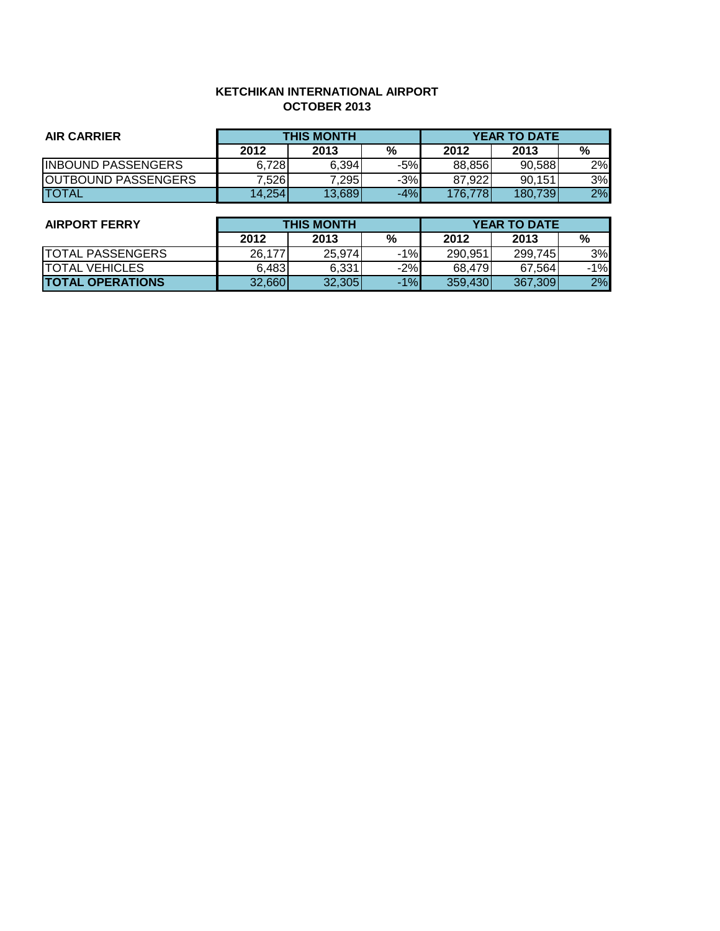## **KETCHIKAN INTERNATIONAL AIRPORT OCTOBER 2013**

| <b>AIR CARRIER</b>         | <b>THIS MONTH</b> |        |       |         | <b>YEAR TO DATE</b> |    |
|----------------------------|-------------------|--------|-------|---------|---------------------|----|
|                            | 2012              | 2013   | %     | 2012    | 2013                | %  |
| <b>INBOUND PASSENGERS</b>  | 6.728             | 6.394  | $-5%$ | 88.856  | 90.588              | 2% |
| <b>OUTBOUND PASSENGERS</b> | 7.5261            | 7,295  | $-3%$ | 87,922  | 90.151              | 3% |
| <b>ITOTAL</b>              | 14,254            | 13,689 | $-4%$ | 176.778 | 180,739             | 2% |

| <b>AIRPORT FERRY</b>     |        | <b>THIS MONTH</b> |       |         | <b>YEAR TO DATE</b> |       |  |  |
|--------------------------|--------|-------------------|-------|---------|---------------------|-------|--|--|
|                          | 2012   | 2013              | %     | 2012    | 2013                | %     |  |  |
| <b>ITOTAL PASSENGERS</b> | 26.177 | 25.974            | $-1%$ | 290.951 | 299,745             | 3%    |  |  |
| <b>ITOTAL VEHICLES</b>   | 6,483  | 6,331             | $-2%$ | 68,479  | 67.564              | $-1%$ |  |  |
| <b>TOTAL OPERATIONS</b>  | 32,660 | 32,305            | $-1%$ | 359,430 | 367,309             | 2%    |  |  |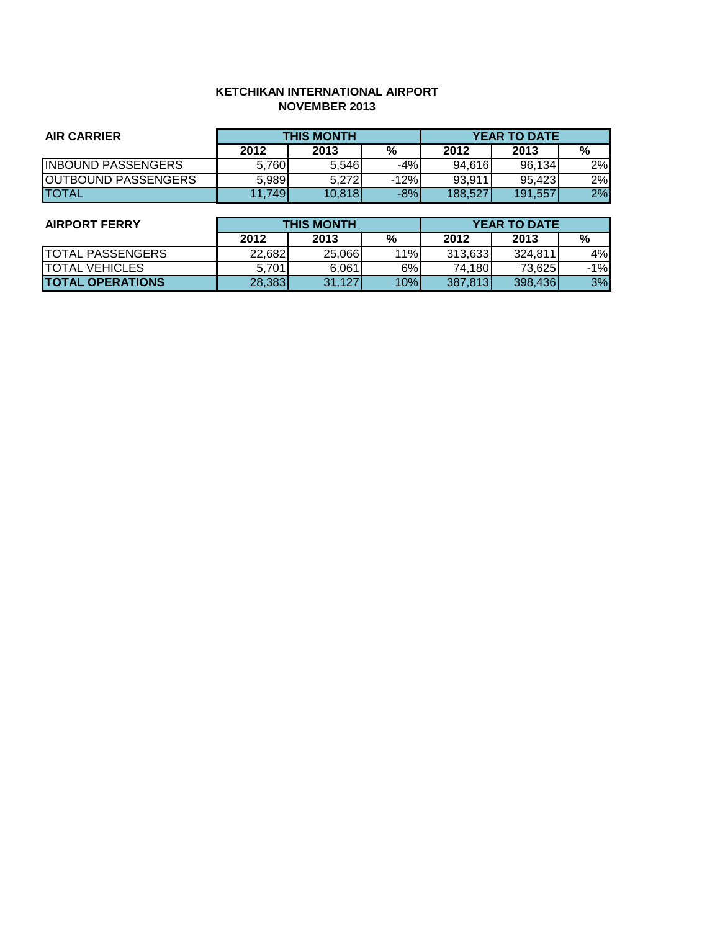### **KETCHIKAN INTERNATIONAL AIRPORT NOVEMBER 2013**

| <b>AIR CARRIER</b>         | <b>THIS MONTH</b> |        |        |         | <b>YEAR TO DATE</b> |    |
|----------------------------|-------------------|--------|--------|---------|---------------------|----|
|                            | 2012              | 2013   | %      | 2012    | 2013                | %  |
| <b>INBOUND PASSENGERS</b>  | 5.760             | 5.546  | $-4%$  | 94.616  | 96,134              | 2% |
| <b>OUTBOUND PASSENGERS</b> | 5,989             | 5.272  | $-12%$ | 93.911  | 95.423              | 2% |
| <b>TOTAL</b>               | 11,749            | 10,818 | $-8%$  | 188.527 | 191,557             | 2% |

| <b>AIRPORT FERRY</b>    |        | <b>THIS MONTH</b> |     |         | <b>YEAR TO DATE</b> |       |  |  |
|-------------------------|--------|-------------------|-----|---------|---------------------|-------|--|--|
|                         | 2012   | 2013              | %   | 2012    | 2013                | %     |  |  |
| <b>TOTAL PASSENGERS</b> | 22,682 | 25,066            | 11% | 313,633 | 324.811             | 4%    |  |  |
| ITOTAL VEHICLES         | 5.701  | 6,061             | 6%  | 74,180  | 73,625              | $-1%$ |  |  |
| <b>TOTAL OPERATIONS</b> | 28,383 | 31,127            | 10% | 387,813 | 398,436             | 3%    |  |  |